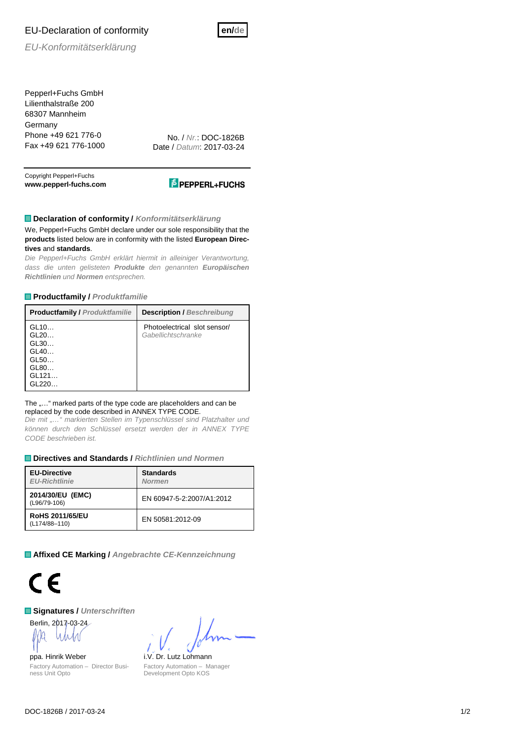# EU-Declaration of conformity



EU-Konformitätserklärung

Pepperl+Fuchs GmbH Lilienthalstraße 200 68307 Mannheim **Germany** Phone +49 621 776-0 Fax +49 621 776-1000

No. / Nr.: DOC-1826B Date / Datum: 2017-03-24

Copyright Pepperl+Fuchs **www.pepperl-fuchs.com** 



# **Declaration of conformity / Konformitätserklärung**

We, Pepperl+Fuchs GmbH declare under our sole responsibility that the **products** listed below are in conformity with the listed **European Directives** and **standards**.

Die Pepperl+Fuchs GmbH erklärt hiermit in alleiniger Verantwortung, dass die unten gelisteten **Produkte** den genannten **Europäischen Richtlinien** und **Normen** entsprechen.

### **Productfamily / Produktfamilie**

| <b>Productfamily / Produktfamilie</b>                          | <b>Description / Beschreibung</b>                  |
|----------------------------------------------------------------|----------------------------------------------------|
| GL10<br>GL20<br>GL30<br>GL40<br>GL50<br>GL80<br>GL121<br>GL220 | Photoelectrical slot sensor/<br>Gabellichtschranke |

### The "..." marked parts of the type code are placeholders and can be replaced by the code described in ANNEX TYPE CODE.

Die mit ....." markierten Stellen im Typenschlüssel sind Platzhalter und können durch den Schlüssel ersetzt werden der in ANNEX TYPE CODE beschrieben ist.

## **Directives and Standards / Richtlinien und Normen**

| <b>EU-Directive</b><br><b>EU-Richtlinie</b> | <b>Standards</b><br><b>Normen</b> |
|---------------------------------------------|-----------------------------------|
| 2014/30/EU (EMC)<br>(L96/79-106)            | EN 60947-5-2:2007/A1:2012         |
| <b>RoHS 2011/65/EU</b><br>(L174/88-110)     | EN 50581:2012-09                  |

**Affixed CE Marking / Angebrachte CE-Kennzeichnung**



### **Signatures / Unterschriften**

Berlin, 2017-03-24 M

ppa. Hinrik Weber i.V. Dr. Lutz Lohmann Factory Automation – Director Business Unit Opto

Factory Automation – Manager Development Opto KOS